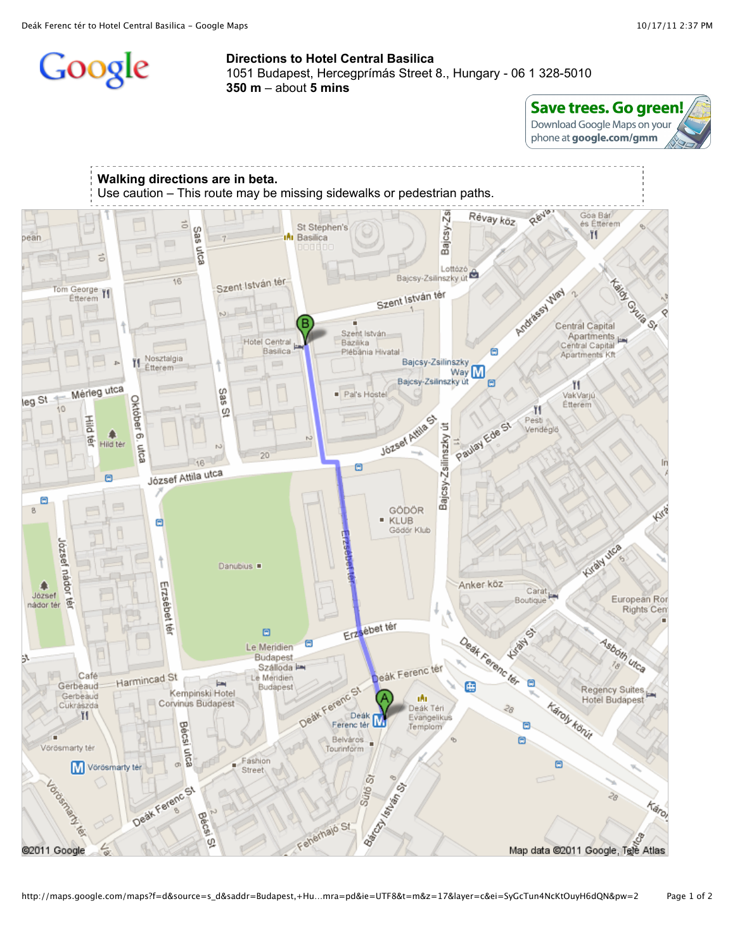